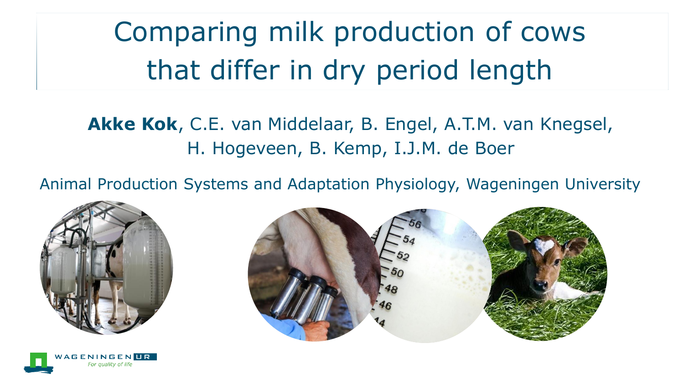Comparing milk production of cows that differ in dry period length

**Akke Kok**, C.E. van Middelaar, B. Engel, A.T.M. van Knegsel, H. Hogeveen, B. Kemp, I.J.M. de Boer

Animal Production Systems and Adaptation Physiology, Wageningen University





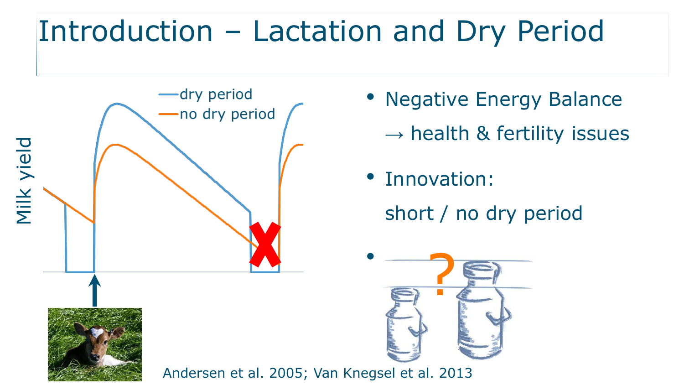# Introduction – Lactation and Dry Period



- Negative Energy Balance
	- $\rightarrow$  health & fertility issues
- Innovation: short / no dry period

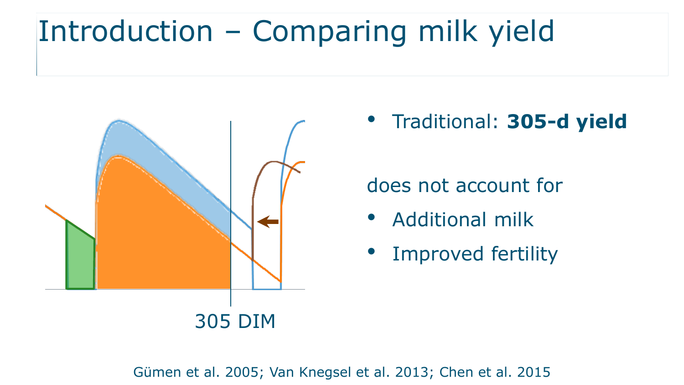## Introduction – Comparing milk yield



• Traditional: **305-d yield**

#### does not account for

- Additional milk
- Improved fertility

Gümen et al. 2005; Van Knegsel et al. 2013; Chen et al. 2015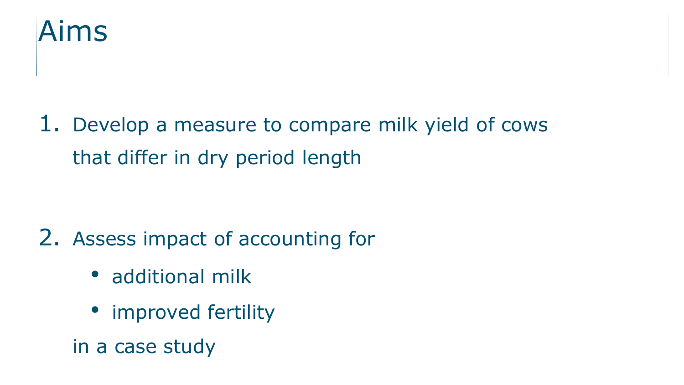

#### 1. Develop a measure to compare milk yield of cows that differ in dry period length

#### 2. Assess impact of accounting for

- additional milk
- improved fertility
- in a case study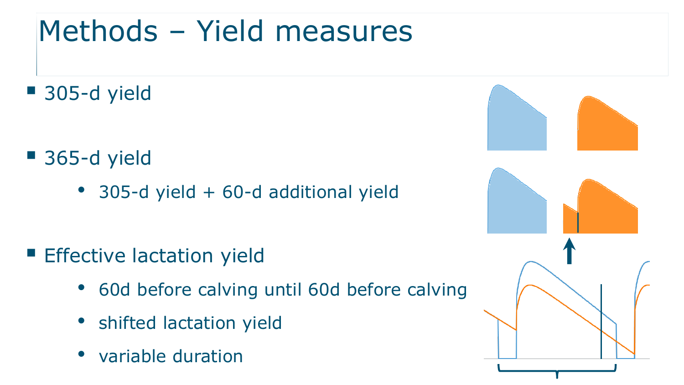## Methods – Yield measures

■ 305-d yield

- 365-d yield
	- 305-d yield + 60-d additional yield

- **Effective lactation yield** 
	- 60d before calving until 60d before calving
	- shifted lactation yield
	- variable duration

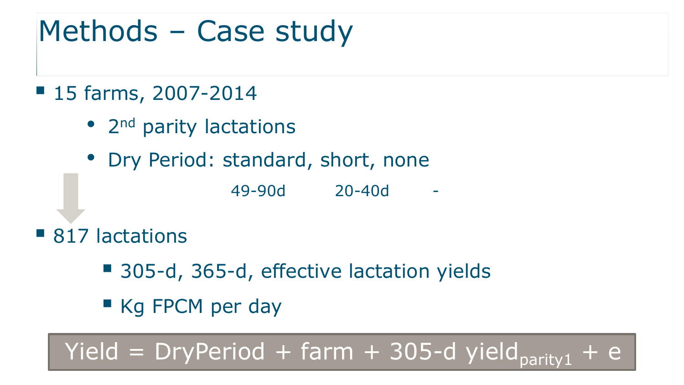### Methods – Case study

- 15 farms, 2007-2014
	- 2<sup>nd</sup> parity lactations
	- Dry Period: standard, short, none
		- 49-90d 20-40d -

- 817 lactations
	- 305-d, 365-d, effective lactation yields
	- Kq FPCM per day

Yield = DryPeriod + farm + 305-d yield<sub>parity1</sub>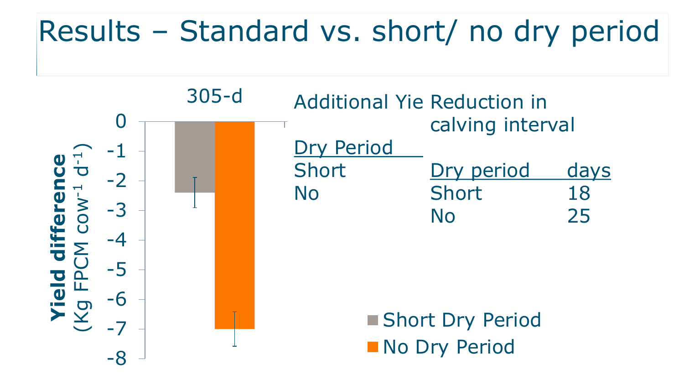### Results – Standard vs. short/ no dry period

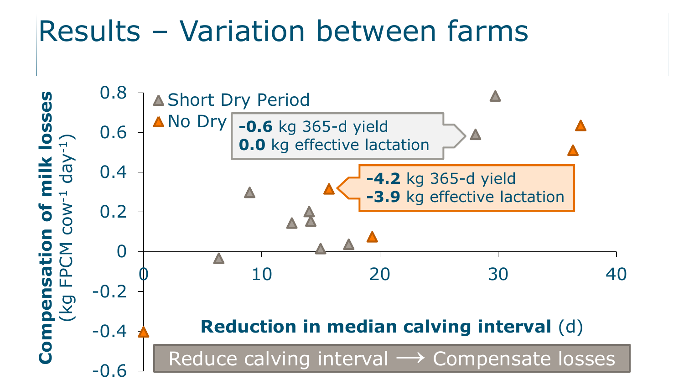### Results – Variation between farms

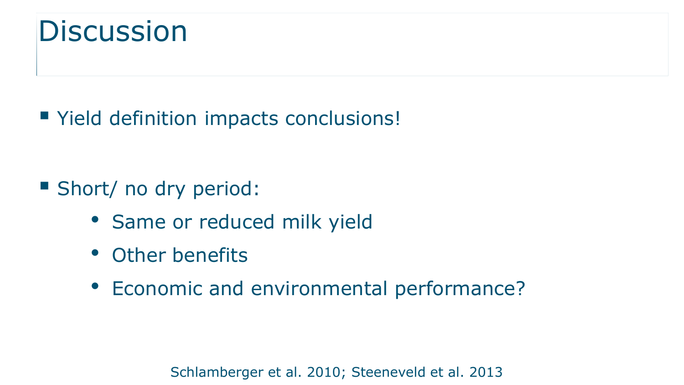#### **Discussion**

Yield definition impacts conclusions!

- Short/ no dry period:
	- Same or reduced milk yield
	- Other benefits
	- Economic and environmental performance?

Schlamberger et al. 2010; Steeneveld et al. 2013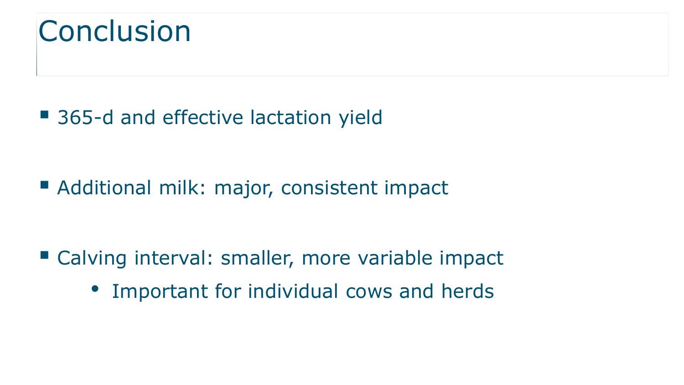

■ 365-d and effective lactation yield

■ Additional milk: major, consistent impact

■ Calving interval: smaller, more variable impact

• Important for individual cows and herds